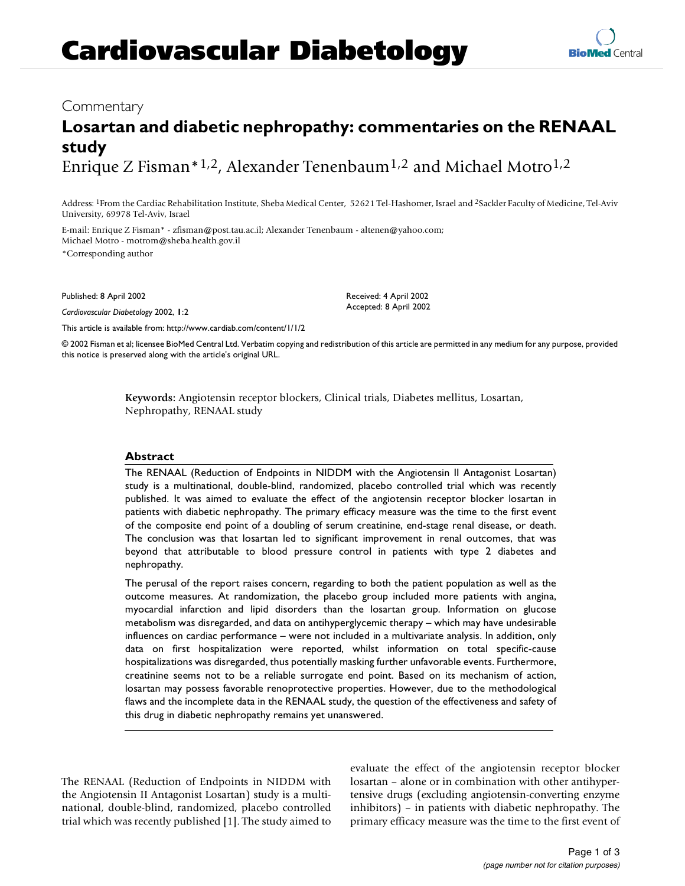# Commentary

# **Losartan and diabetic nephropathy: commentaries on the RENAAL study** Enrique Z Fisman\*1,2, Alexander Tenenbaum<sup>1,2</sup> and Michael Motro<sup>1,2</sup>

Address: 1From the Cardiac Rehabilitation Institute, Sheba Medical Center, 52621 Tel-Hashomer, Israel and 2Sackler Faculty of Medicine, Tel-Aviv University, 69978 Tel-Aviv, Israel

E-mail: Enrique Z Fisman\* - zfisman@post.tau.ac.il; Alexander Tenenbaum - altenen@yahoo.com; Michael Motro - motrom@sheba.health.gov.il \*Corresponding author

Published: 8 April 2002

*Cardiovascular Diabetology* 2002, **1**:2

[This article is available from: http://www.cardiab.com/content/1/1/2](http://www.cardiab.com/content/1/1/2)

Received: 4 April 2002 Accepted: 8 April 2002

© 2002 Fisman et al; licensee BioMed Central Ltd. Verbatim copying and redistribution of this article are permitted in any medium for any purpose, provided this notice is preserved along with the article's original URL.

> **Keywords:** Angiotensin receptor blockers, Clinical trials, Diabetes mellitus, Losartan, Nephropathy, RENAAL study

#### **Abstract**

The RENAAL (Reduction of Endpoints in NIDDM with the Angiotensin II Antagonist Losartan) study is a multinational, double-blind, randomized, placebo controlled trial which was recently published. It was aimed to evaluate the effect of the angiotensin receptor blocker losartan in patients with diabetic nephropathy. The primary efficacy measure was the time to the first event of the composite end point of a doubling of serum creatinine, end-stage renal disease, or death. The conclusion was that losartan led to significant improvement in renal outcomes, that was beyond that attributable to blood pressure control in patients with type 2 diabetes and nephropathy.

The perusal of the report raises concern, regarding to both the patient population as well as the outcome measures. At randomization, the placebo group included more patients with angina, myocardial infarction and lipid disorders than the losartan group. Information on glucose metabolism was disregarded, and data on antihyperglycemic therapy – which may have undesirable influences on cardiac performance – were not included in a multivariate analysis. In addition, only data on first hospitalization were reported, whilst information on total specific-cause hospitalizations was disregarded, thus potentially masking further unfavorable events. Furthermore, creatinine seems not to be a reliable surrogate end point. Based on its mechanism of action, losartan may possess favorable renoprotective properties. However, due to the methodological flaws and the incomplete data in the RENAAL study, the question of the effectiveness and safety of this drug in diabetic nephropathy remains yet unanswered.

The RENAAL (Reduction of Endpoints in NIDDM with the Angiotensin II Antagonist Losartan) study is a multinational, double-blind, randomized, placebo controlled trial which was recently published [1]. The study aimed to evaluate the effect of the angiotensin receptor blocker losartan – alone or in combination with other antihypertensive drugs (excluding angiotensin-converting enzyme inhibitors) – in patients with diabetic nephropathy. The primary efficacy measure was the time to the first event of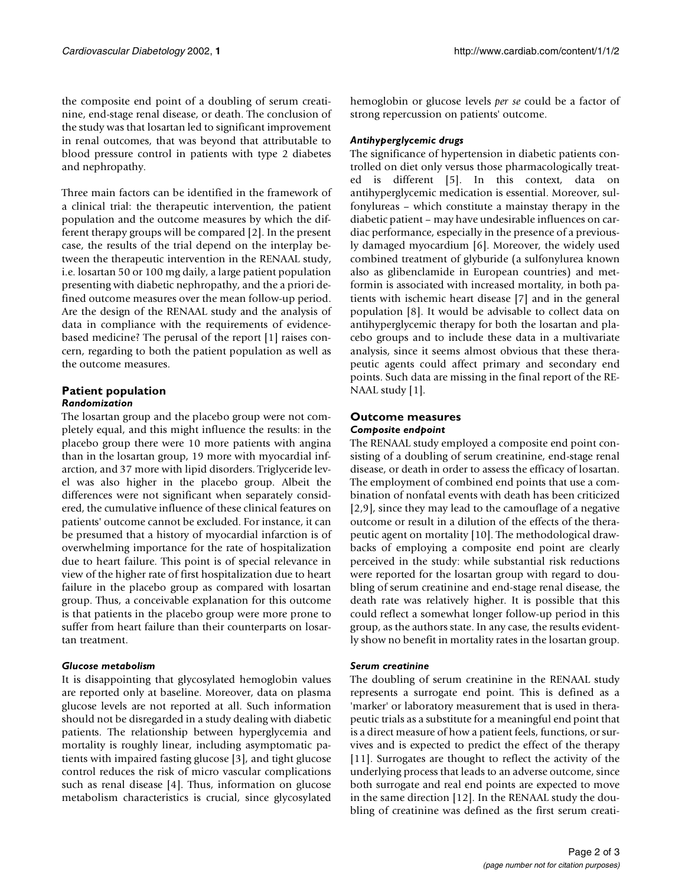the composite end point of a doubling of serum creatinine, end-stage renal disease, or death. The conclusion of the study was that losartan led to significant improvement in renal outcomes, that was beyond that attributable to blood pressure control in patients with type 2 diabetes and nephropathy.

Three main factors can be identified in the framework of a clinical trial: the therapeutic intervention, the patient population and the outcome measures by which the different therapy groups will be compared [2]. In the present case, the results of the trial depend on the interplay between the therapeutic intervention in the RENAAL study, i.e. losartan 50 or 100 mg daily, a large patient population presenting with diabetic nephropathy, and the a priori defined outcome measures over the mean follow-up period. Are the design of the RENAAL study and the analysis of data in compliance with the requirements of evidencebased medicine? The perusal of the report [1] raises concern, regarding to both the patient population as well as the outcome measures.

### **Patient population** *Randomization*

The losartan group and the placebo group were not completely equal, and this might influence the results: in the placebo group there were 10 more patients with angina than in the losartan group, 19 more with myocardial infarction, and 37 more with lipid disorders. Triglyceride level was also higher in the placebo group. Albeit the differences were not significant when separately considered, the cumulative influence of these clinical features on patients' outcome cannot be excluded. For instance, it can be presumed that a history of myocardial infarction is of overwhelming importance for the rate of hospitalization due to heart failure. This point is of special relevance in view of the higher rate of first hospitalization due to heart failure in the placebo group as compared with losartan group. Thus, a conceivable explanation for this outcome is that patients in the placebo group were more prone to suffer from heart failure than their counterparts on losartan treatment.

## *Glucose metabolism*

It is disappointing that glycosylated hemoglobin values are reported only at baseline. Moreover, data on plasma glucose levels are not reported at all. Such information should not be disregarded in a study dealing with diabetic patients. The relationship between hyperglycemia and mortality is roughly linear, including asymptomatic patients with impaired fasting glucose [3], and tight glucose control reduces the risk of micro vascular complications such as renal disease [4]. Thus, information on glucose metabolism characteristics is crucial, since glycosylated hemoglobin or glucose levels *per se* could be a factor of strong repercussion on patients' outcome.

# *Antihyperglycemic drugs*

The significance of hypertension in diabetic patients controlled on diet only versus those pharmacologically treated is different [5]. In this context, data on antihyperglycemic medication is essential. Moreover, sulfonylureas – which constitute a mainstay therapy in the diabetic patient – may have undesirable influences on cardiac performance, especially in the presence of a previously damaged myocardium [6]. Moreover, the widely used combined treatment of glyburide (a sulfonylurea known also as glibenclamide in European countries) and metformin is associated with increased mortality, in both patients with ischemic heart disease [7] and in the general population [8]. It would be advisable to collect data on antihyperglycemic therapy for both the losartan and placebo groups and to include these data in a multivariate analysis, since it seems almost obvious that these therapeutic agents could affect primary and secondary end points. Such data are missing in the final report of the RE-NAAL study [1].

# **Outcome measures** *Composite endpoint*

The RENAAL study employed a composite end point consisting of a doubling of serum creatinine, end-stage renal disease, or death in order to assess the efficacy of losartan. The employment of combined end points that use a combination of nonfatal events with death has been criticized [2,9], since they may lead to the camouflage of a negative outcome or result in a dilution of the effects of the therapeutic agent on mortality [10]. The methodological drawbacks of employing a composite end point are clearly perceived in the study: while substantial risk reductions were reported for the losartan group with regard to doubling of serum creatinine and end-stage renal disease, the death rate was relatively higher. It is possible that this could reflect a somewhat longer follow-up period in this group, as the authors state. In any case, the results evidently show no benefit in mortality rates in the losartan group.

# *Serum creatinine*

The doubling of serum creatinine in the RENAAL study represents a surrogate end point. This is defined as a 'marker' or laboratory measurement that is used in therapeutic trials as a substitute for a meaningful end point that is a direct measure of how a patient feels, functions, or survives and is expected to predict the effect of the therapy [11]. Surrogates are thought to reflect the activity of the underlying process that leads to an adverse outcome, since both surrogate and real end points are expected to move in the same direction [12]. In the RENAAL study the doubling of creatinine was defined as the first serum creati-